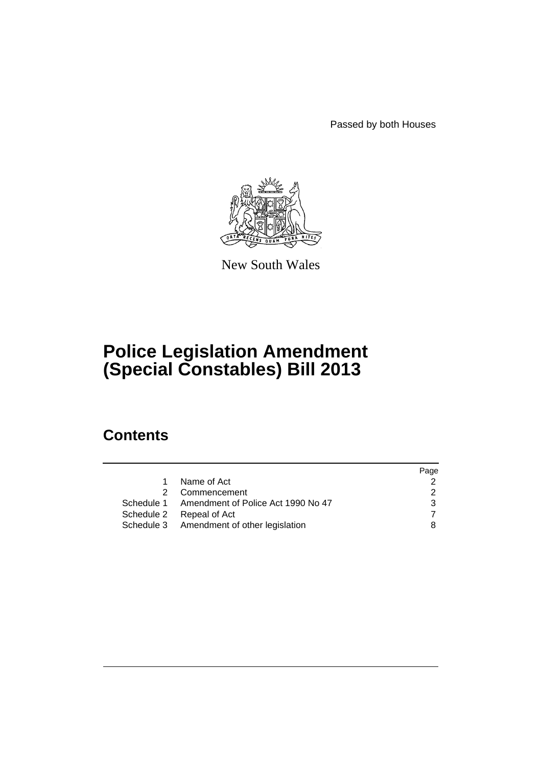Passed by both Houses



New South Wales

# **Police Legislation Amendment (Special Constables) Bill 2013**

# **Contents**

|                                               | Page          |
|-----------------------------------------------|---------------|
| Name of Act<br>$\mathbf{1}$                   | 2             |
| 2 Commencement                                | $\mathcal{P}$ |
| Schedule 1 Amendment of Police Act 1990 No 47 | 3             |
| Schedule 2 Repeal of Act                      |               |
| Schedule 3 Amendment of other legislation     | 8             |
|                                               |               |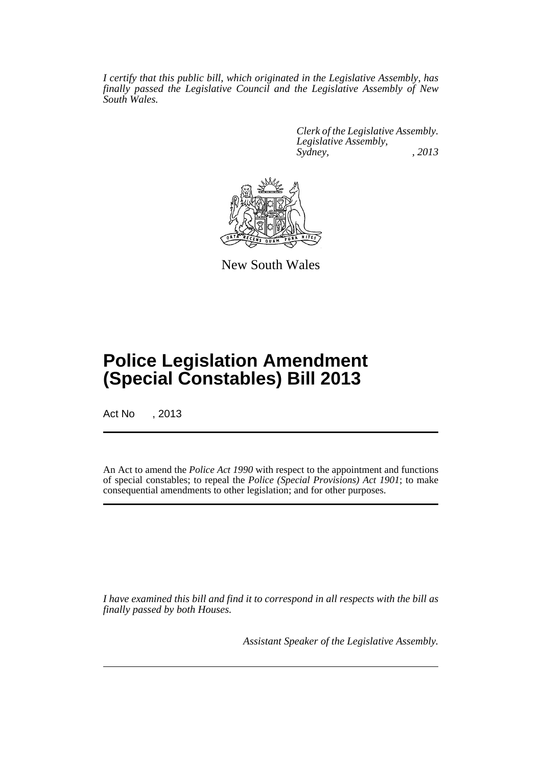*I certify that this public bill, which originated in the Legislative Assembly, has finally passed the Legislative Council and the Legislative Assembly of New South Wales.*

> *Clerk of the Legislative Assembly. Legislative Assembly, Sydney, , 2013*



New South Wales

# **Police Legislation Amendment (Special Constables) Bill 2013**

Act No . 2013

An Act to amend the *Police Act 1990* with respect to the appointment and functions of special constables; to repeal the *Police (Special Provisions) Act 1901*; to make consequential amendments to other legislation; and for other purposes.

*I have examined this bill and find it to correspond in all respects with the bill as finally passed by both Houses.*

*Assistant Speaker of the Legislative Assembly.*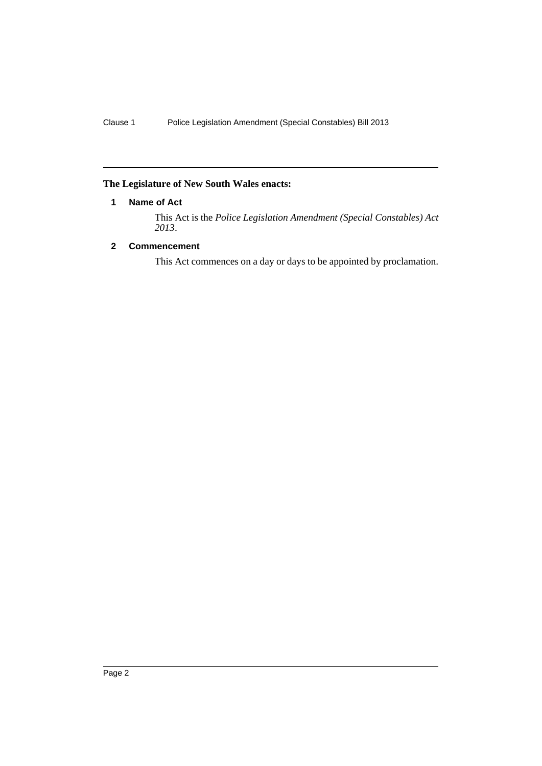# <span id="page-3-0"></span>**The Legislature of New South Wales enacts:**

## **1 Name of Act**

This Act is the *Police Legislation Amendment (Special Constables) Act 2013*.

## <span id="page-3-1"></span>**2 Commencement**

This Act commences on a day or days to be appointed by proclamation.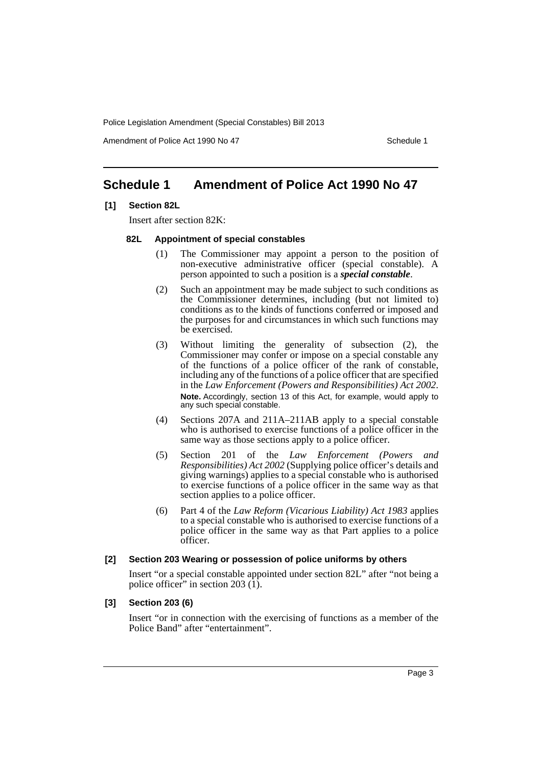Amendment of Police Act 1990 No 47 Schedule 1

# <span id="page-4-0"></span>**Schedule 1 Amendment of Police Act 1990 No 47**

#### **[1] Section 82L**

Insert after section 82K:

#### **82L Appointment of special constables**

- (1) The Commissioner may appoint a person to the position of non-executive administrative officer (special constable). A person appointed to such a position is a *special constable*.
- (2) Such an appointment may be made subject to such conditions as the Commissioner determines, including (but not limited to) conditions as to the kinds of functions conferred or imposed and the purposes for and circumstances in which such functions may be exercised.
- (3) Without limiting the generality of subsection (2), the Commissioner may confer or impose on a special constable any of the functions of a police officer of the rank of constable, including any of the functions of a police officer that are specified in the *Law Enforcement (Powers and Responsibilities) Act 2002*. **Note.** Accordingly, section 13 of this Act, for example, would apply to any such special constable.
- (4) Sections 207A and 211A–211AB apply to a special constable who is authorised to exercise functions of a police officer in the same way as those sections apply to a police officer.
- (5) Section 201 of the *Law Enforcement (Powers and Responsibilities) Act 2002* (Supplying police officer's details and giving warnings) applies to a special constable who is authorised to exercise functions of a police officer in the same way as that section applies to a police officer.
- (6) Part 4 of the *Law Reform (Vicarious Liability) Act 1983* applies to a special constable who is authorised to exercise functions of a police officer in the same way as that Part applies to a police officer.

#### **[2] Section 203 Wearing or possession of police uniforms by others**

Insert "or a special constable appointed under section 82L" after "not being a police officer" in section 203 $(1)$ .

#### **[3] Section 203 (6)**

Insert "or in connection with the exercising of functions as a member of the Police Band" after "entertainment".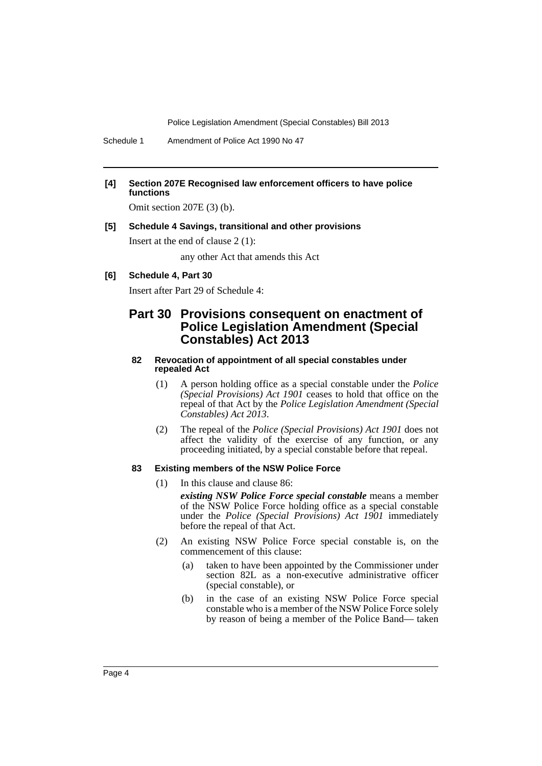Schedule 1 Amendment of Police Act 1990 No 47

#### **[4] Section 207E Recognised law enforcement officers to have police functions**

Omit section 207E (3) (b).

#### **[5] Schedule 4 Savings, transitional and other provisions**

Insert at the end of clause 2 (1):

any other Act that amends this Act

#### **[6] Schedule 4, Part 30**

Insert after Part 29 of Schedule 4:

# **Part 30 Provisions consequent on enactment of Police Legislation Amendment (Special Constables) Act 2013**

#### **82 Revocation of appointment of all special constables under repealed Act**

- (1) A person holding office as a special constable under the *Police (Special Provisions) Act 1901* ceases to hold that office on the repeal of that Act by the *Police Legislation Amendment (Special Constables) Act 2013*.
- (2) The repeal of the *Police (Special Provisions) Act 1901* does not affect the validity of the exercise of any function, or any proceeding initiated, by a special constable before that repeal.

#### **83 Existing members of the NSW Police Force**

(1) In this clause and clause 86:

*existing NSW Police Force special constable* means a member of the NSW Police Force holding office as a special constable under the *Police (Special Provisions) Act 1901* immediately before the repeal of that Act.

- (2) An existing NSW Police Force special constable is, on the commencement of this clause:
	- (a) taken to have been appointed by the Commissioner under section 82L as a non-executive administrative officer (special constable), or
	- (b) in the case of an existing NSW Police Force special constable who is a member of the NSW Police Force solely by reason of being a member of the Police Band— taken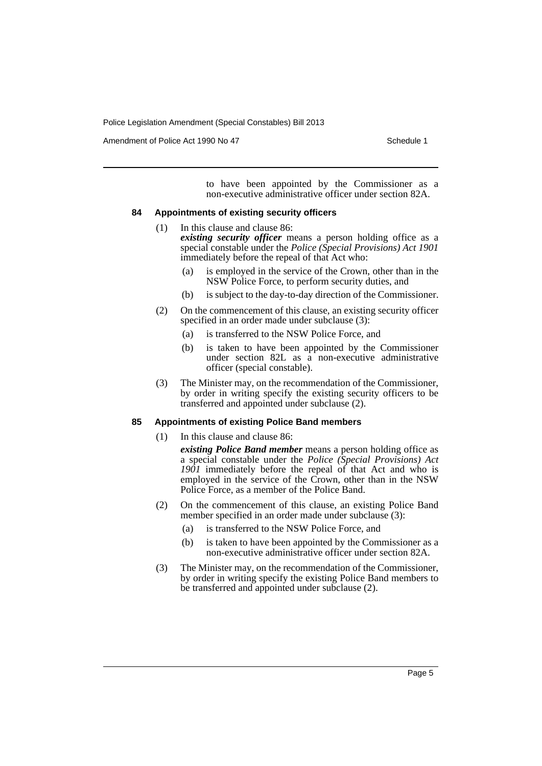Amendment of Police Act 1990 No 47 Schedule 1

to have been appointed by the Commissioner as a non-executive administrative officer under section 82A.

#### **84 Appointments of existing security officers**

- (1) In this clause and clause 86: *existing security officer* means a person holding office as a special constable under the *Police (Special Provisions) Act 1901* immediately before the repeal of that Act who:
	- (a) is employed in the service of the Crown, other than in the NSW Police Force, to perform security duties, and
	- (b) is subject to the day-to-day direction of the Commissioner.
- (2) On the commencement of this clause, an existing security officer specified in an order made under subclause (3):
	- (a) is transferred to the NSW Police Force, and
	- (b) is taken to have been appointed by the Commissioner under section 82L as a non-executive administrative officer (special constable).
- (3) The Minister may, on the recommendation of the Commissioner, by order in writing specify the existing security officers to be transferred and appointed under subclause (2).

#### **85 Appointments of existing Police Band members**

(1) In this clause and clause 86:

*existing Police Band member* means a person holding office as a special constable under the *Police (Special Provisions) Act 1901* immediately before the repeal of that Act and who is employed in the service of the Crown, other than in the NSW Police Force, as a member of the Police Band.

- (2) On the commencement of this clause, an existing Police Band member specified in an order made under subclause (3):
	- (a) is transferred to the NSW Police Force, and
	- (b) is taken to have been appointed by the Commissioner as a non-executive administrative officer under section 82A.
- (3) The Minister may, on the recommendation of the Commissioner, by order in writing specify the existing Police Band members to be transferred and appointed under subclause (2).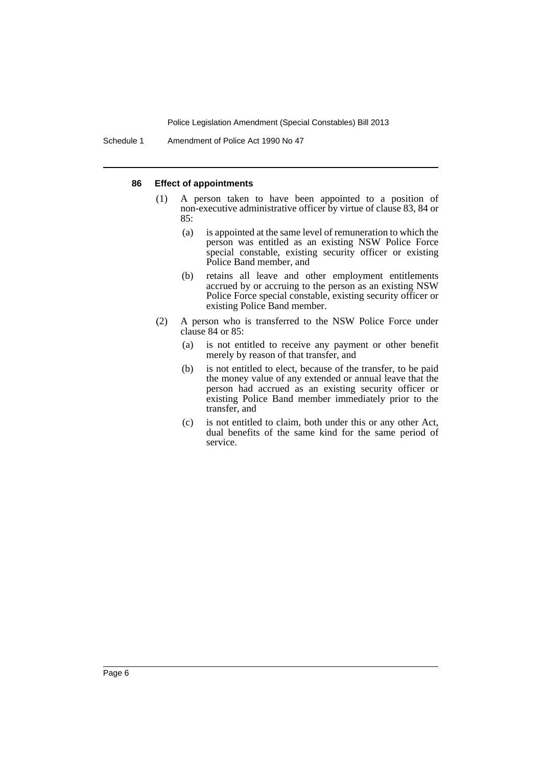#### **86 Effect of appointments**

- (1) A person taken to have been appointed to a position of non-executive administrative officer by virtue of clause 83, 84 or 85:
	- (a) is appointed at the same level of remuneration to which the person was entitled as an existing NSW Police Force special constable, existing security officer or existing Police Band member, and
	- (b) retains all leave and other employment entitlements accrued by or accruing to the person as an existing NSW Police Force special constable, existing security officer or existing Police Band member.
- (2) A person who is transferred to the NSW Police Force under clause 84 or 85:
	- (a) is not entitled to receive any payment or other benefit merely by reason of that transfer, and
	- (b) is not entitled to elect, because of the transfer, to be paid the money value of any extended or annual leave that the person had accrued as an existing security officer or existing Police Band member immediately prior to the transfer, and
	- (c) is not entitled to claim, both under this or any other Act, dual benefits of the same kind for the same period of service.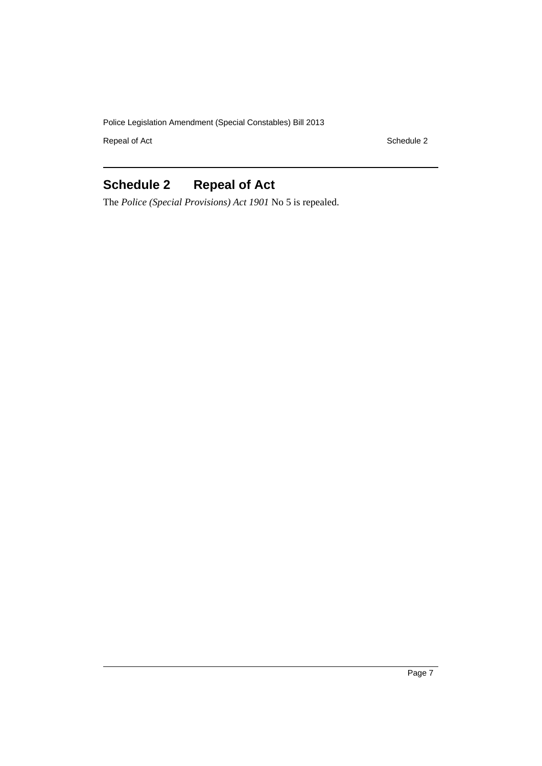Repeal of Act Schedule 2

# <span id="page-8-0"></span>**Schedule 2 Repeal of Act**

The *Police (Special Provisions) Act 1901* No 5 is repealed.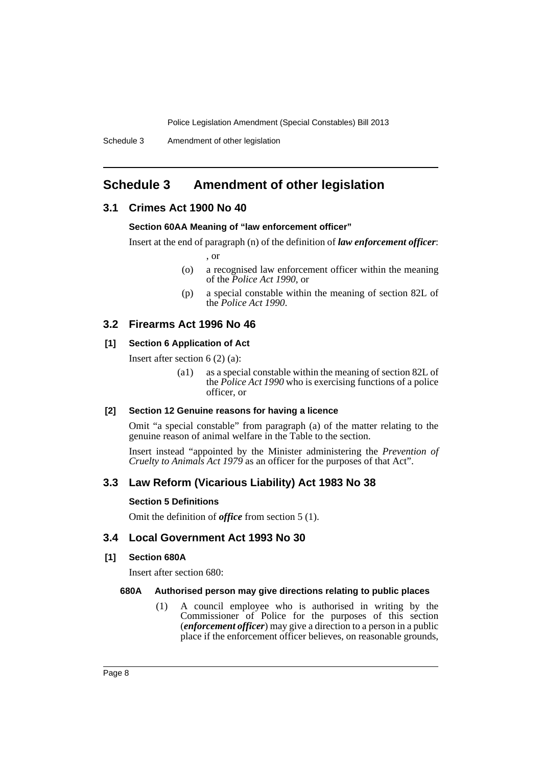# <span id="page-9-0"></span>**Schedule 3 Amendment of other legislation**

## **3.1 Crimes Act 1900 No 40**

#### **Section 60AA Meaning of "law enforcement officer"**

Insert at the end of paragraph (n) of the definition of *law enforcement officer*:

, or

- (o) a recognised law enforcement officer within the meaning of the *Police Act 1990*, or
- (p) a special constable within the meaning of section 82L of the *Police Act 1990*.

#### **3.2 Firearms Act 1996 No 46**

#### **[1] Section 6 Application of Act**

Insert after section 6 (2) (a):

(a1) as a special constable within the meaning of section 82L of the *Police Act 1990* who is exercising functions of a police officer, or

#### **[2] Section 12 Genuine reasons for having a licence**

Omit "a special constable" from paragraph (a) of the matter relating to the genuine reason of animal welfare in the Table to the section.

Insert instead "appointed by the Minister administering the *Prevention of Cruelty to Animals Act 1979* as an officer for the purposes of that Act".

## **3.3 Law Reform (Vicarious Liability) Act 1983 No 38**

#### **Section 5 Definitions**

Omit the definition of *office* from section 5 (1).

## **3.4 Local Government Act 1993 No 30**

#### **[1] Section 680A**

Insert after section 680:

#### **680A Authorised person may give directions relating to public places**

(1) A council employee who is authorised in writing by the Commissioner of Police for the purposes of this section (*enforcement officer*) may give a direction to a person in a public place if the enforcement officer believes, on reasonable grounds,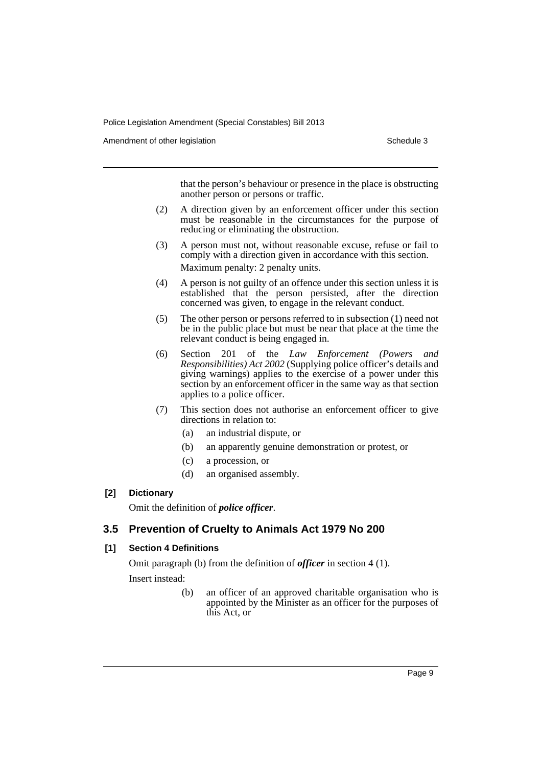Amendment of other legislation Schedule 3

that the person's behaviour or presence in the place is obstructing another person or persons or traffic.

- (2) A direction given by an enforcement officer under this section must be reasonable in the circumstances for the purpose of reducing or eliminating the obstruction.
- (3) A person must not, without reasonable excuse, refuse or fail to comply with a direction given in accordance with this section. Maximum penalty: 2 penalty units.
- (4) A person is not guilty of an offence under this section unless it is established that the person persisted, after the direction concerned was given, to engage in the relevant conduct.
- (5) The other person or persons referred to in subsection (1) need not be in the public place but must be near that place at the time the relevant conduct is being engaged in.
- (6) Section 201 of the *Law Enforcement (Powers and Responsibilities) Act 2002* (Supplying police officer's details and giving warnings) applies to the exercise of a power under this section by an enforcement officer in the same way as that section applies to a police officer.
- (7) This section does not authorise an enforcement officer to give directions in relation to:
	- (a) an industrial dispute, or
	- (b) an apparently genuine demonstration or protest, or
	- (c) a procession, or
	- (d) an organised assembly.

## **[2] Dictionary**

Omit the definition of *police officer*.

# **3.5 Prevention of Cruelty to Animals Act 1979 No 200**

# **[1] Section 4 Definitions**

Omit paragraph (b) from the definition of *officer* in section 4 (1). Insert instead:

> (b) an officer of an approved charitable organisation who is appointed by the Minister as an officer for the purposes of this Act, or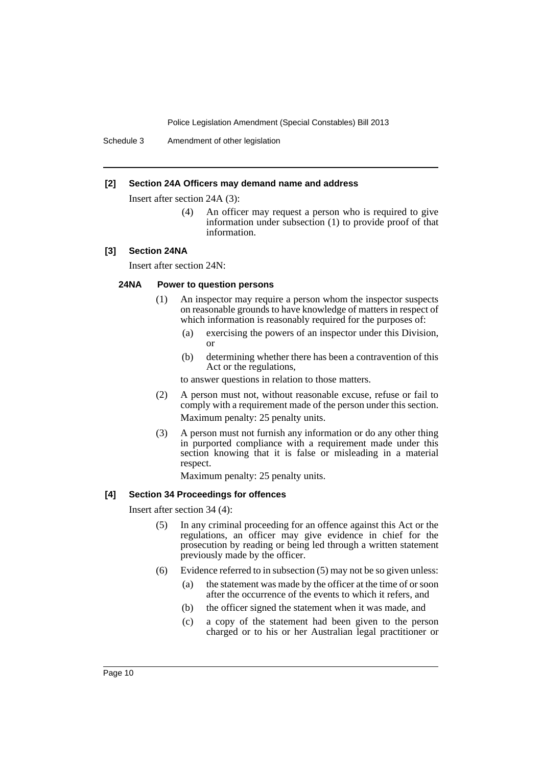Schedule 3 Amendment of other legislation

#### **[2] Section 24A Officers may demand name and address**

Insert after section 24A (3):

(4) An officer may request a person who is required to give information under subsection (1) to provide proof of that information.

#### **[3] Section 24NA**

Insert after section 24N:

## **24NA Power to question persons**

- (1) An inspector may require a person whom the inspector suspects on reasonable grounds to have knowledge of matters in respect of which information is reasonably required for the purposes of:
	- (a) exercising the powers of an inspector under this Division, or
	- (b) determining whether there has been a contravention of this Act or the regulations,

to answer questions in relation to those matters.

- (2) A person must not, without reasonable excuse, refuse or fail to comply with a requirement made of the person under this section. Maximum penalty: 25 penalty units.
- (3) A person must not furnish any information or do any other thing in purported compliance with a requirement made under this section knowing that it is false or misleading in a material respect.

Maximum penalty: 25 penalty units.

#### **[4] Section 34 Proceedings for offences**

Insert after section 34 (4):

- (5) In any criminal proceeding for an offence against this Act or the regulations, an officer may give evidence in chief for the prosecution by reading or being led through a written statement previously made by the officer.
- (6) Evidence referred to in subsection (5) may not be so given unless:
	- (a) the statement was made by the officer at the time of or soon after the occurrence of the events to which it refers, and
	- (b) the officer signed the statement when it was made, and
	- (c) a copy of the statement had been given to the person charged or to his or her Australian legal practitioner or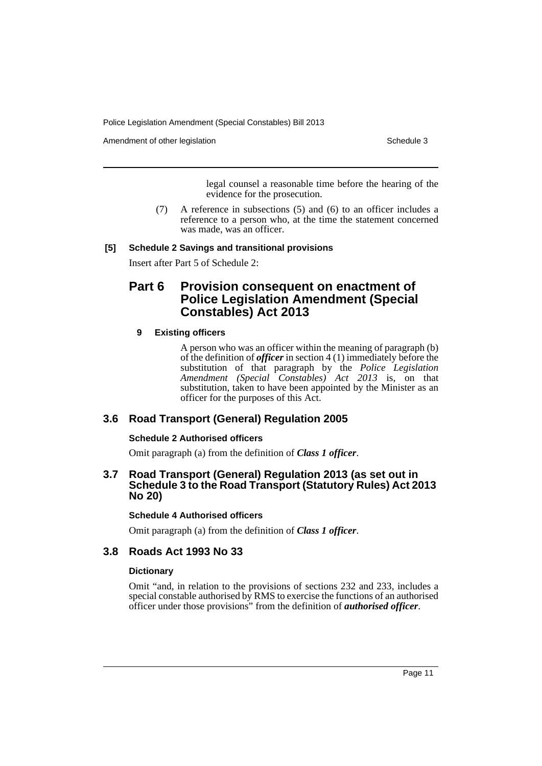Amendment of other legislation Schedule 3

legal counsel a reasonable time before the hearing of the evidence for the prosecution.

(7) A reference in subsections (5) and (6) to an officer includes a reference to a person who, at the time the statement concerned was made, was an officer.

## **[5] Schedule 2 Savings and transitional provisions**

Insert after Part 5 of Schedule 2:

# **Part 6 Provision consequent on enactment of Police Legislation Amendment (Special Constables) Act 2013**

## **9 Existing officers**

A person who was an officer within the meaning of paragraph (b) of the definition of *officer* in section 4 (1) immediately before the substitution of that paragraph by the *Police Legislation Amendment (Special Constables) Act 2013* is, on that substitution, taken to have been appointed by the Minister as an officer for the purposes of this Act.

# **3.6 Road Transport (General) Regulation 2005**

## **Schedule 2 Authorised officers**

Omit paragraph (a) from the definition of *Class 1 officer*.

## **3.7 Road Transport (General) Regulation 2013 (as set out in Schedule 3 to the Road Transport (Statutory Rules) Act 2013 No 20)**

#### **Schedule 4 Authorised officers**

Omit paragraph (a) from the definition of *Class 1 officer*.

# **3.8 Roads Act 1993 No 33**

## **Dictionary**

Omit "and, in relation to the provisions of sections 232 and 233, includes a special constable authorised by RMS to exercise the functions of an authorised officer under those provisions" from the definition of *authorised officer*.